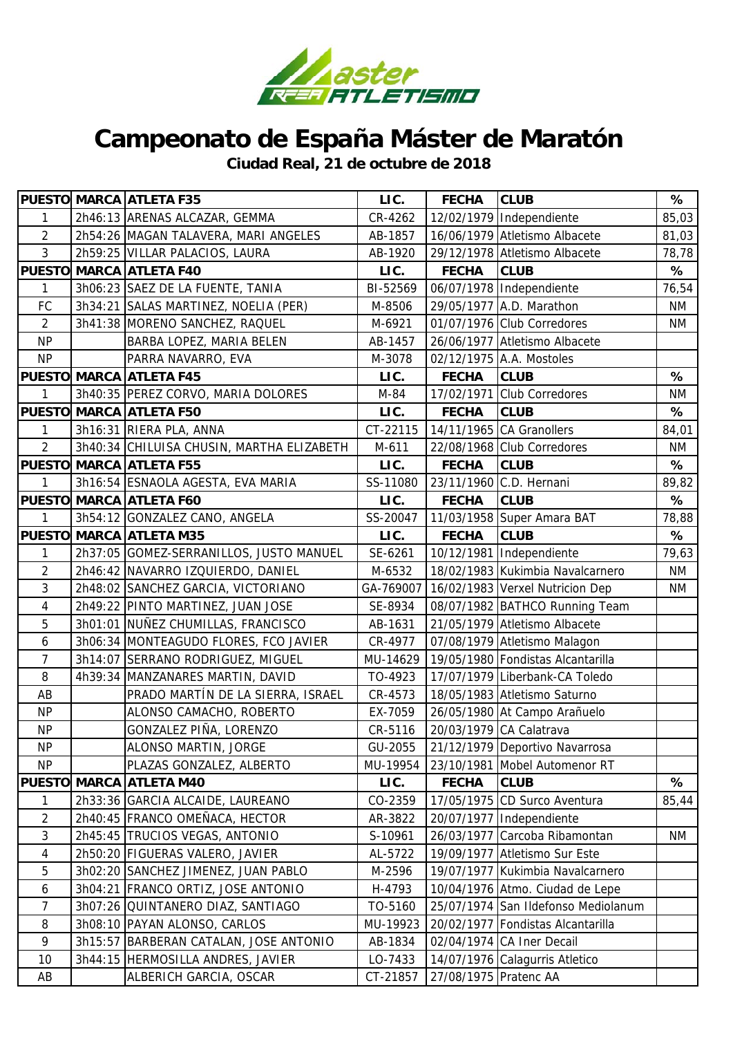

## **Campeonato de España Máster de Maratón**

**Ciudad Real, 21 de octubre de 2018**

|                |         | <b>PUESTO MARCA ATLETA F35</b>            | LIC.      | <b>FECHA</b>          | <b>CLUB</b>                         | %         |
|----------------|---------|-------------------------------------------|-----------|-----------------------|-------------------------------------|-----------|
| 1              |         | 2h46:13 ARENAS ALCAZAR, GEMMA             | CR-4262   |                       | 12/02/1979 Independiente            | 85,03     |
| $\overline{2}$ |         | 2h54:26   MAGAN TALAVERA, MARI ANGELES    | AB-1857   |                       | 16/06/1979 Atletismo Albacete       | 81,03     |
| $\mathbf{3}$   |         | 2h59:25 VILLAR PALACIOS, LAURA            | AB-1920   |                       | 29/12/1978 Atletismo Albacete       | 78,78     |
|                |         | <b>PUESTO MARCA ATLETA F40</b>            | LIC.      | <b>FECHA</b>          | <b>CLUB</b>                         | %         |
| 1              |         | 3h06:23 SAEZ DE LA FUENTE, TANIA          | BI-52569  |                       | 06/07/1978 Independiente            | 76,54     |
| FC             |         | 3h34:21 SALAS MARTINEZ, NOELIA (PER)      | M-8506    |                       | 29/05/1977 A.D. Marathon            | <b>NM</b> |
| $\overline{2}$ |         | 3h41:38 MORENO SANCHEZ, RAQUEL            | M-6921    |                       | 01/07/1976 Club Corredores          | <b>NM</b> |
| <b>NP</b>      |         | BARBA LOPEZ, MARIA BELEN                  | AB-1457   | 26/06/1977            | Atletismo Albacete                  |           |
| <b>NP</b>      |         | PARRA NAVARRO, EVA                        | M-3078    |                       | 02/12/1975 A.A. Mostoles            |           |
|                |         | <b>PUESTO MARCA ATLETA F45</b>            | LIC.      | <b>FECHA</b>          | <b>CLUB</b>                         | %         |
| 1              |         | 3h40:35 PEREZ CORVO, MARIA DOLORES        | M-84      | 17/02/1971            | <b>Club Corredores</b>              | <b>NM</b> |
|                |         | PUESTO MARCA ATLETA F50                   | LIC.      | <b>FECHA</b>          | <b>CLUB</b>                         | %         |
| 1              |         | 3h16:31 RIERA PLA, ANNA                   | CT-22115  |                       | 14/11/1965 CA Granollers            | 84,01     |
| $\overline{2}$ |         | 3h40:34 CHILUISA CHUSIN, MARTHA ELIZABETH | M-611     |                       | 22/08/1968 Club Corredores          | ΝM        |
|                |         | <b>PUESTO MARCA ATLETA F55</b>            | LIC.      | <b>FECHA</b>          | <b>CLUB</b>                         | %         |
| 1              |         | 3h16:54 ESNAOLA AGESTA, EVA MARIA         | SS-11080  |                       | 23/11/1960 C.D. Hernani             | 89,82     |
|                |         | PUESTO MARCA ATLETA F60                   | LIC.      | <b>FECHA</b>          | <b>CLUB</b>                         | %         |
| 1              |         | 3h54:12 GONZALEZ CANO, ANGELA             | SS-20047  |                       | 11/03/1958 Super Amara BAT          | 78,88     |
|                |         | PUESTO MARCA ATLETA M35                   | LIC.      | <b>FECHA</b>          | <b>CLUB</b>                         | %         |
| 1              |         | 2h37:05 GOMEZ-SERRANILLOS, JUSTO MANUEL   | SE-6261   |                       | 10/12/1981 Independiente            | 79,63     |
| $\overline{2}$ |         | 2h46:42 NAVARRO IZQUIERDO, DANIEL         | M-6532    |                       | 18/02/1983 Kukimbia Navalcarnero    | <b>NM</b> |
| 3              |         | 2h48:02 SANCHEZ GARCIA, VICTORIANO        | GA-769007 |                       | 16/02/1983 Verxel Nutricion Dep     | <b>NM</b> |
| $\overline{4}$ |         | 2h49:22 PINTO MARTINEZ, JUAN JOSE         | SE-8934   |                       | 08/07/1982 BATHCO Running Team      |           |
| 5              |         | 3h01:01 NUÑEZ CHUMILLAS, FRANCISCO        | AB-1631   |                       | 21/05/1979 Atletismo Albacete       |           |
| 6              |         | 3h06:34 MONTEAGUDO FLORES, FCO JAVIER     | CR-4977   |                       | 07/08/1979 Atletismo Malagon        |           |
| $\overline{7}$ |         | 3h14:07 SERRANO RODRIGUEZ, MIGUEL         | MU-14629  |                       | 19/05/1980 Fondistas Alcantarilla   |           |
| 8              |         | 4h39:34 MANZANARES MARTIN, DAVID          | TO-4923   |                       | 17/07/1979 Liberbank-CA Toledo      |           |
| AB             |         | PRADO MARTÍN DE LA SIERRA, ISRAEL         | CR-4573   |                       | 18/05/1983 Atletismo Saturno        |           |
| <b>NP</b>      |         | ALONSO CAMACHO, ROBERTO                   | EX-7059   |                       | 26/05/1980 At Campo Arañuelo        |           |
| <b>NP</b>      |         | GONZALEZ PIÑA, LORENZO                    | CR-5116   |                       | 20/03/1979 CA Calatrava             |           |
| <b>NP</b>      |         | ALONSO MARTIN, JORGE                      | GU-2055   |                       | 21/12/1979 Deportivo Navarrosa      |           |
| <b>NP</b>      |         | PLAZAS GONZALEZ, ALBERTO                  | MU-19954  |                       | 23/10/1981 Mobel Automenor RT       |           |
| <b>PUESTO</b>  |         | <b>MARCA ATLETA M40</b>                   | LIC.      | <b>FECHA</b>          | <b>CLUB</b>                         | %         |
| 1              |         | 2h33:36 GARCIA ALCAIDE, LAUREANO          | CO-2359   |                       | 17/05/1975 CD Surco Aventura        | 85,44     |
| $\overline{2}$ |         | 2h40:45   FRANCO OMEÑACA, HECTOR          | AR-3822   |                       | 20/07/1977 Independiente            |           |
| 3              |         | 2h45:45 TRUCIOS VEGAS, ANTONIO            | S-10961   | 26/03/1977            | Carcoba Ribamontan                  | ΝM        |
| 4              |         | 2h50:20 FIGUERAS VALERO, JAVIER           | AL-5722   | 19/09/1977            | Atletismo Sur Este                  |           |
| 5              |         | 3h02:20 SANCHEZ JIMENEZ, JUAN PABLO       | M-2596    | 19/07/1977            | Kukimbia Navalcarnero               |           |
| 6              |         | 3h04:21 FRANCO ORTIZ, JOSE ANTONIO        | H-4793    |                       | 10/04/1976 Atmo. Ciudad de Lepe     |           |
| $\overline{7}$ |         | 3h07:26 QUINTANERO DIAZ, SANTIAGO         | TO-5160   |                       | 25/07/1974 San Ildefonso Mediolanum |           |
| 8              |         | 3h08:10 PAYAN ALONSO, CARLOS              | MU-19923  | 20/02/1977            | Fondistas Alcantarilla              |           |
| 9              | 3h15:57 | BARBERAN CATALAN, JOSE ANTONIO            | AB-1834   |                       | 02/04/1974 CA Iner Decail           |           |
| 10             |         | 3h44:15 HERMOSILLA ANDRES, JAVIER         | LO-7433   |                       | 14/07/1976 Calagurris Atletico      |           |
| AB             |         | ALBERICH GARCIA, OSCAR                    | CT-21857  | 27/08/1975 Pratenc AA |                                     |           |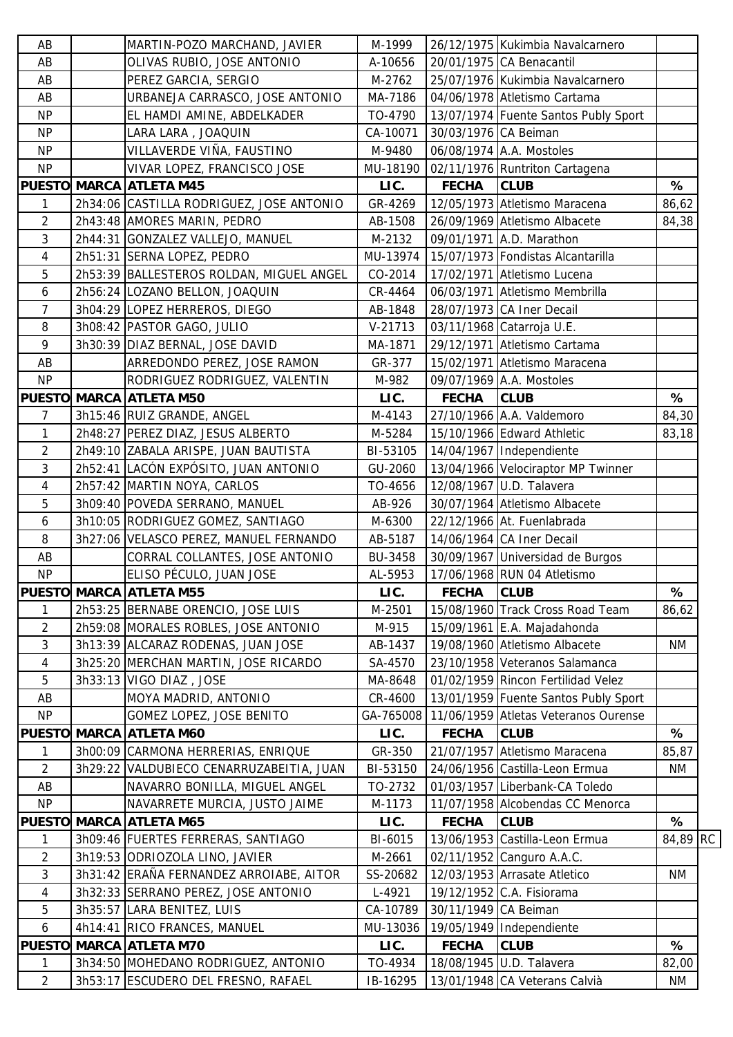| AB             | MARTIN-POZO MARCHAND, JAVIER             | M-1999    |                      | 26/12/1975 Kukimbia Navalcarnero     |           |
|----------------|------------------------------------------|-----------|----------------------|--------------------------------------|-----------|
| AB             | OLIVAS RUBIO, JOSE ANTONIO               | A-10656   |                      | 20/01/1975 CA Benacantil             |           |
| AB             | PEREZ GARCIA, SERGIO                     | M-2762    |                      | 25/07/1976 Kukimbia Navalcarnero     |           |
| AB             | URBANEJA CARRASCO, JOSE ANTONIO          | MA-7186   |                      | 04/06/1978 Atletismo Cartama         |           |
| <b>NP</b>      | EL HAMDI AMINE, ABDELKADER               | TO-4790   |                      | 13/07/1974 Fuente Santos Publy Sport |           |
| <b>NP</b>      | LARA LARA, JOAQUIN                       | CA-10071  | 30/03/1976 CA Beiman |                                      |           |
| <b>NP</b>      | VILLAVERDE VIÑA, FAUSTINO                | M-9480    |                      | 06/08/1974 A.A. Mostoles             |           |
| <b>NP</b>      | VIVAR LOPEZ, FRANCISCO JOSE              | MU-18190  |                      | 02/11/1976 Runtriton Cartagena       |           |
|                | <b>PUESTO MARCA ATLETA M45</b>           | LIC.      | <b>FECHA</b>         | <b>CLUB</b>                          | %         |
| 1              | 2h34:06 CASTILLA RODRIGUEZ, JOSE ANTONIO | GR-4269   |                      | 12/05/1973 Atletismo Maracena        | 86,62     |
| 2              | 2h43:48 AMORES MARIN, PEDRO              | AB-1508   |                      | 26/09/1969 Atletismo Albacete        | 84,38     |
| 3              | 2h44:31 GONZALEZ VALLEJO, MANUEL         | M-2132    |                      | 09/01/1971 A.D. Marathon             |           |
| 4              | 2h51:31 SERNA LOPEZ, PEDRO               | MU-13974  |                      | 15/07/1973 Fondistas Alcantarilla    |           |
| 5              | 2h53:39 BALLESTEROS ROLDAN, MIGUEL ANGEL | CO-2014   |                      | 17/02/1971 Atletismo Lucena          |           |
| 6              | 2h56:24 LOZANO BELLON, JOAQUIN           | CR-4464   |                      | 06/03/1971 Atletismo Membrilla       |           |
| 7              | 3h04:29 LOPEZ HERREROS, DIEGO            | AB-1848   |                      | 28/07/1973 CA Iner Decail            |           |
| 8              | 3h08:42 PASTOR GAGO, JULIO               | $V-21713$ |                      | 03/11/1968 Catarroja U.E.            |           |
| 9              | 3h30:39 DIAZ BERNAL, JOSE DAVID          | MA-1871   |                      | 29/12/1971 Atletismo Cartama         |           |
| AB             | ARREDONDO PEREZ, JOSE RAMON              | GR-377    |                      | 15/02/1971 Atletismo Maracena        |           |
| <b>NP</b>      | RODRIGUEZ RODRIGUEZ, VALENTIN            | M-982     |                      | 09/07/1969 A.A. Mostoles             |           |
|                | PUESTO MARCA ATLETA M50                  | LIC.      | <b>FECHA</b>         | <b>CLUB</b>                          | %         |
| 7              | 3h15:46 RUIZ GRANDE, ANGEL               | M-4143    |                      | 27/10/1966 A.A. Valdemoro            | 84,30     |
| 1              | 2h48:27   PEREZ DIAZ, JESUS ALBERTO      | M-5284    |                      | 15/10/1966 Edward Athletic           | 83,18     |
| 2              | 2h49:10 ZABALA ARISPE, JUAN BAUTISTA     | BI-53105  |                      | 14/04/1967 Independiente             |           |
| 3              | 2h52:41 LACÓN EXPÓSITO, JUAN ANTONIO     | GU-2060   |                      | 13/04/1966 Velociraptor MP Twinner   |           |
| 4              | 2h57:42 MARTIN NOYA, CARLOS              | TO-4656   |                      | 12/08/1967 U.D. Talavera             |           |
| 5              | 3h09:40 POVEDA SERRANO, MANUEL           | AB-926    |                      | 30/07/1964 Atletismo Albacete        |           |
| 6              | 3h10:05 RODRIGUEZ GOMEZ, SANTIAGO        | M-6300    |                      | 22/12/1966 At. Fuenlabrada           |           |
|                |                                          |           |                      |                                      |           |
| 8              | 3h27:06 VELASCO PEREZ, MANUEL FERNANDO   | AB-5187   |                      | 14/06/1964 CA Iner Decail            |           |
| AB             | CORRAL COLLANTES, JOSE ANTONIO           | BU-3458   |                      | 30/09/1967 Universidad de Burgos     |           |
| <b>NP</b>      | ELISO PÉCULO, JUAN JOSE                  | AL-5953   |                      | 17/06/1968 RUN 04 Atletismo          |           |
|                | <b>PUESTO MARCA ATLETA M55</b>           | LIC.      | <b>FECHA</b>         | <b>CLUB</b>                          | %         |
| 1              | 2h53:25 BERNABE ORENCIO, JOSE LUIS       | M-2501    |                      | 15/08/1960 Track Cross Road Team     | 86,62     |
| 2              | 2h59:08 MORALES ROBLES, JOSE ANTONIO     | M-915     |                      | 15/09/1961 E.A. Majadahonda          |           |
| $\mathfrak{Z}$ | 3h13:39 ALCARAZ RODENAS, JUAN JOSE       | AB-1437   |                      | 19/08/1960 Atletismo Albacete        | NM        |
| 4              | 3h25:20 MERCHAN MARTIN, JOSE RICARDO     | SA-4570   |                      | 23/10/1958 Veteranos Salamanca       |           |
| 5              | 3h33:13 VIGO DIAZ, JOSE                  | MA-8648   |                      | 01/02/1959 Rincon Fertilidad Velez   |           |
| AB             | MOYA MADRID, ANTONIO                     | CR-4600   |                      | 13/01/1959 Fuente Santos Publy Sport |           |
| <b>NP</b>      | GOMEZ LOPEZ, JOSE BENITO                 | GA-765008 |                      | 11/06/1959 Atletas Veteranos Ourense |           |
|                | <b>PUESTO MARCA ATLETA M60</b>           | LIC.      | <b>FECHA</b>         | <b>CLUB</b>                          | %         |
| 1              | 3h00:09 CARMONA HERRERIAS, ENRIQUE       | GR-350    |                      | 21/07/1957 Atletismo Maracena        | 85,87     |
| $\overline{2}$ | 3h29:22 VALDUBIECO CENARRUZABEITIA, JUAN | BI-53150  |                      | 24/06/1956 Castilla-Leon Ermua       | ΝM        |
| AB             | NAVARRO BONILLA, MIGUEL ANGEL            | TO-2732   |                      | 01/03/1957 Liberbank-CA Toledo       |           |
| <b>NP</b>      | NAVARRETE MURCIA, JUSTO JAIME            | M-1173    |                      | 11/07/1958 Alcobendas CC Menorca     |           |
|                | <b>PUESTO MARCA ATLETA M65</b>           | LIC.      | <b>FECHA</b>         | <b>CLUB</b>                          | %         |
| 1              | 3h09:46 FUERTES FERRERAS, SANTIAGO       | BI-6015   |                      | 13/06/1953 Castilla-Leon Ermua       | 84,89 RC  |
| 2              | 3h19:53 ODRIOZOLA LINO, JAVIER           | M-2661    |                      | 02/11/1952 Canguro A.A.C.            |           |
| 3              | 3h31:42 ERAÑA FERNANDEZ ARROIABE, AITOR  | SS-20682  |                      | 12/03/1953 Arrasate Atletico         | <b>NM</b> |
| 4              | 3h32:33 SERRANO PEREZ, JOSE ANTONIO      | L-4921    |                      | 19/12/1952 C.A. Fisiorama            |           |
| 5              | 3h35:57 LARA BENITEZ, LUIS               | CA-10789  | 30/11/1949 CA Beiman |                                      |           |
| 6              | 4h14:41 RICO FRANCES, MANUEL             | MU-13036  |                      | 19/05/1949   Independiente           |           |
|                | <b>PUESTO MARCA ATLETA M70</b>           | LIC.      | <b>FECHA</b>         | <b>CLUB</b>                          | %         |
| 1              | 3h34:50 MOHEDANO RODRIGUEZ, ANTONIO      | TO-4934   |                      | 18/08/1945 U.D. Talavera             | 82,00     |